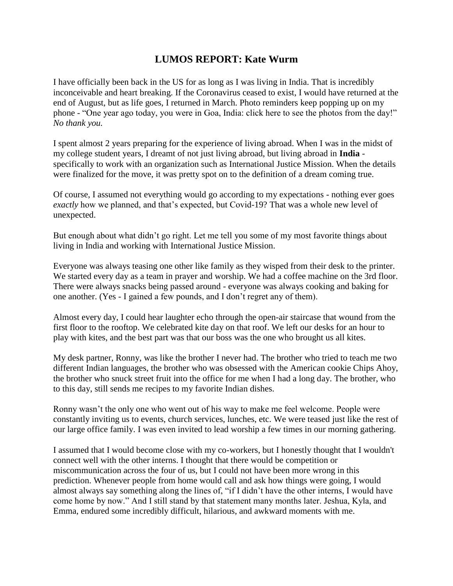## **LUMOS REPORT: Kate Wurm**

I have officially been back in the US for as long as I was living in India. That is incredibly inconceivable and heart breaking. If the Coronavirus ceased to exist, I would have returned at the end of August, but as life goes, I returned in March. Photo reminders keep popping up on my phone - "One year ago today, you were in Goa, India: click here to see the photos from the day!" *No thank you.*

I spent almost 2 years preparing for the experience of living abroad. When I was in the midst of my college student years, I dreamt of not just living abroad, but living abroad in **India** specifically to work with an organization such as International Justice Mission. When the details were finalized for the move, it was pretty spot on to the definition of a dream coming true.

Of course, I assumed not everything would go according to my expectations - nothing ever goes *exactly* how we planned, and that's expected, but Covid-19? That was a whole new level of unexpected.

But enough about what didn't go right. Let me tell you some of my most favorite things about living in India and working with International Justice Mission.

Everyone was always teasing one other like family as they wisped from their desk to the printer. We started every day as a team in prayer and worship. We had a coffee machine on the 3rd floor. There were always snacks being passed around - everyone was always cooking and baking for one another. (Yes - I gained a few pounds, and I don't regret any of them).

Almost every day, I could hear laughter echo through the open-air staircase that wound from the first floor to the rooftop. We celebrated kite day on that roof. We left our desks for an hour to play with kites, and the best part was that our boss was the one who brought us all kites.

My desk partner, Ronny, was like the brother I never had. The brother who tried to teach me two different Indian languages, the brother who was obsessed with the American cookie Chips Ahoy, the brother who snuck street fruit into the office for me when I had a long day. The brother, who to this day, still sends me recipes to my favorite Indian dishes.

Ronny wasn't the only one who went out of his way to make me feel welcome. People were constantly inviting us to events, church services, lunches, etc. We were teased just like the rest of our large office family. I was even invited to lead worship a few times in our morning gathering.

I assumed that I would become close with my co-workers, but I honestly thought that I wouldn't connect well with the other interns. I thought that there would be competition or miscommunication across the four of us, but I could not have been more wrong in this prediction. Whenever people from home would call and ask how things were going, I would almost always say something along the lines of, "if I didn't have the other interns, I would have come home by now." And I still stand by that statement many months later. Jeshua, Kyla, and Emma, endured some incredibly difficult, hilarious, and awkward moments with me.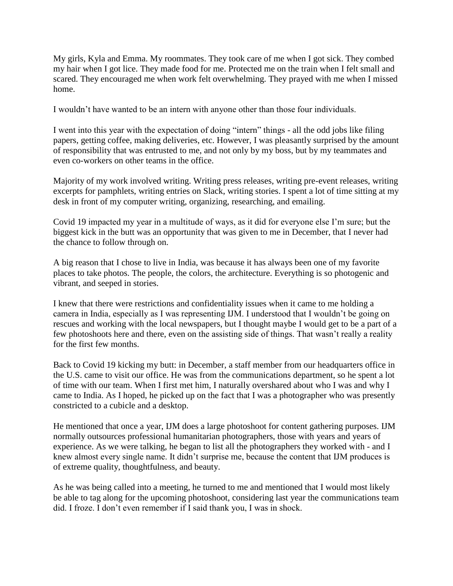My girls, Kyla and Emma. My roommates. They took care of me when I got sick. They combed my hair when I got lice. They made food for me. Protected me on the train when I felt small and scared. They encouraged me when work felt overwhelming. They prayed with me when I missed home.

I wouldn't have wanted to be an intern with anyone other than those four individuals.

I went into this year with the expectation of doing "intern" things - all the odd jobs like filing papers, getting coffee, making deliveries, etc. However, I was pleasantly surprised by the amount of responsibility that was entrusted to me, and not only by my boss, but by my teammates and even co-workers on other teams in the office.

Majority of my work involved writing. Writing press releases, writing pre-event releases, writing excerpts for pamphlets, writing entries on Slack, writing stories. I spent a lot of time sitting at my desk in front of my computer writing, organizing, researching, and emailing.

Covid 19 impacted my year in a multitude of ways, as it did for everyone else I'm sure; but the biggest kick in the butt was an opportunity that was given to me in December, that I never had the chance to follow through on.

A big reason that I chose to live in India, was because it has always been one of my favorite places to take photos. The people, the colors, the architecture. Everything is so photogenic and vibrant, and seeped in stories.

I knew that there were restrictions and confidentiality issues when it came to me holding a camera in India, especially as I was representing IJM. I understood that I wouldn't be going on rescues and working with the local newspapers, but I thought maybe I would get to be a part of a few photoshoots here and there, even on the assisting side of things. That wasn't really a reality for the first few months.

Back to Covid 19 kicking my butt: in December, a staff member from our headquarters office in the U.S. came to visit our office. He was from the communications department, so he spent a lot of time with our team. When I first met him, I naturally overshared about who I was and why I came to India. As I hoped, he picked up on the fact that I was a photographer who was presently constricted to a cubicle and a desktop.

He mentioned that once a year, IJM does a large photoshoot for content gathering purposes. IJM normally outsources professional humanitarian photographers, those with years and years of experience. As we were talking, he began to list all the photographers they worked with - and I knew almost every single name. It didn't surprise me, because the content that IJM produces is of extreme quality, thoughtfulness, and beauty.

As he was being called into a meeting, he turned to me and mentioned that I would most likely be able to tag along for the upcoming photoshoot, considering last year the communications team did. I froze. I don't even remember if I said thank you, I was in shock.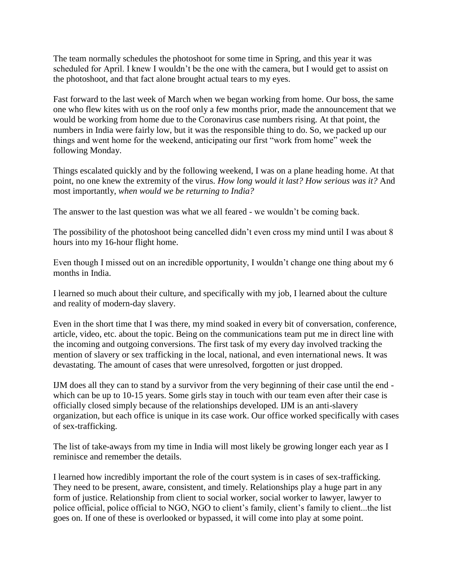The team normally schedules the photoshoot for some time in Spring, and this year it was scheduled for April. I knew I wouldn't be the one with the camera, but I would get to assist on the photoshoot, and that fact alone brought actual tears to my eyes.

Fast forward to the last week of March when we began working from home. Our boss, the same one who flew kites with us on the roof only a few months prior, made the announcement that we would be working from home due to the Coronavirus case numbers rising. At that point, the numbers in India were fairly low, but it was the responsible thing to do. So, we packed up our things and went home for the weekend, anticipating our first "work from home" week the following Monday.

Things escalated quickly and by the following weekend, I was on a plane heading home. At that point, no one knew the extremity of the virus. *How long would it last? How serious was it?* And most importantly, *when would we be returning to India?*

The answer to the last question was what we all feared - we wouldn't be coming back.

The possibility of the photoshoot being cancelled didn't even cross my mind until I was about 8 hours into my 16-hour flight home.

Even though I missed out on an incredible opportunity, I wouldn't change one thing about my 6 months in India.

I learned so much about their culture, and specifically with my job, I learned about the culture and reality of modern-day slavery.

Even in the short time that I was there, my mind soaked in every bit of conversation, conference, article, video, etc. about the topic. Being on the communications team put me in direct line with the incoming and outgoing conversions. The first task of my every day involved tracking the mention of slavery or sex trafficking in the local, national, and even international news. It was devastating. The amount of cases that were unresolved, forgotten or just dropped.

IJM does all they can to stand by a survivor from the very beginning of their case until the end which can be up to 10-15 years. Some girls stay in touch with our team even after their case is officially closed simply because of the relationships developed. IJM is an anti-slavery organization, but each office is unique in its case work. Our office worked specifically with cases of sex-trafficking.

The list of take-aways from my time in India will most likely be growing longer each year as I reminisce and remember the details.

I learned how incredibly important the role of the court system is in cases of sex-trafficking. They need to be present, aware, consistent, and timely. Relationships play a huge part in any form of justice. Relationship from client to social worker, social worker to lawyer, lawyer to police official, police official to NGO, NGO to client's family, client's family to client...the list goes on. If one of these is overlooked or bypassed, it will come into play at some point.